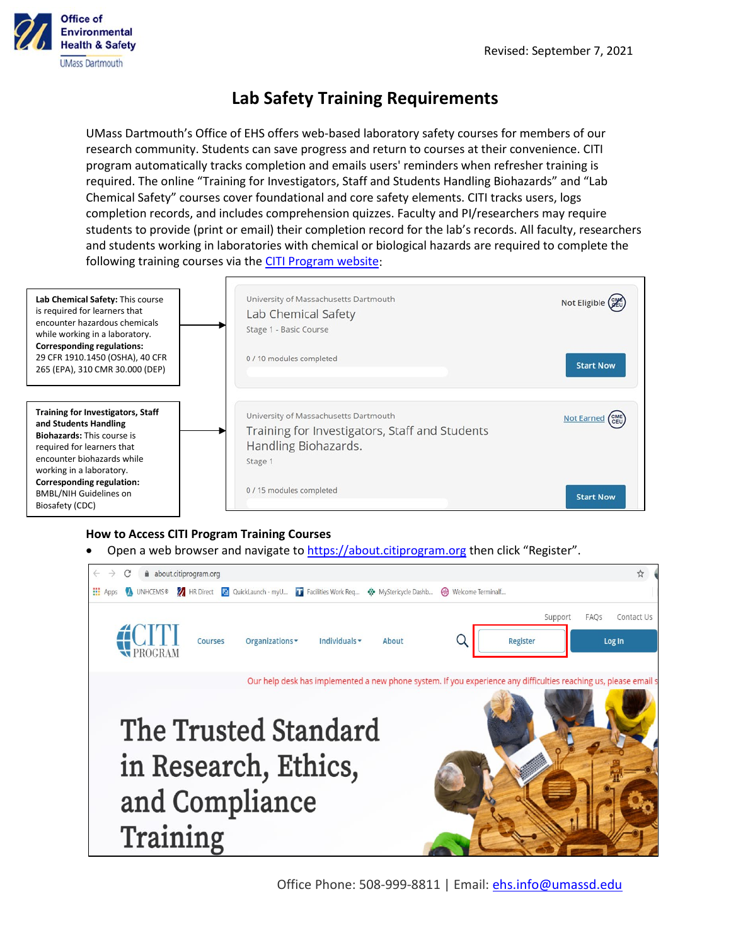

## **Lab Safety Training Requirements**

UMass Dartmouth's Office of EHS offers web-based laboratory safety courses for members of our research community. Students can save progress and return to courses at their convenience. CITI program automatically tracks completion and emails users' reminders when refresher training is required. The online "Training for Investigators, Staff and Students Handling Biohazards" and "Lab Chemical Safety" courses cover foundational and core safety elements. CITI tracks users, logs completion records, and includes comprehension quizzes. Faculty and PI/researchers may require students to provide (print or email) their completion record for the lab's records. All faculty, researchers and students working in laboratories with chemical or biological hazards are required to complete the following training courses via the [CITI Program website:](http://www.citiprogram.org/)



## **How to Access CITI Program Training Courses**

Open a web browser and navigate t[o https://about.citiprogram.org](https://about.citiprogram.org/) then click "Register".



Office Phone: 508-999-8811 | Email: [ehs.info@umassd.edu](mailto:ehs.info@umassd.edu)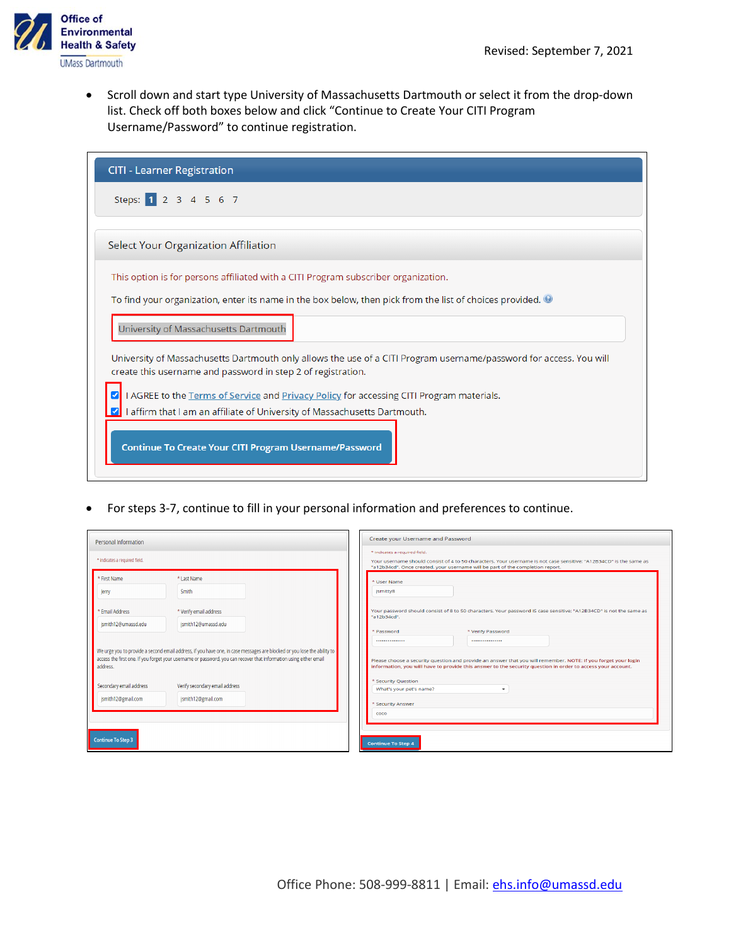

• Scroll down and start type University of Massachusetts Dartmouth or select it from the drop-down list. Check off both boxes below and click "Continue to Create Your CITI Program Username/Password" to continue registration.

| <b>CITI - Learner Registration</b>                                                                                                                                                 |  |  |  |
|------------------------------------------------------------------------------------------------------------------------------------------------------------------------------------|--|--|--|
| Steps: 1 2 3 4 5 6 7                                                                                                                                                               |  |  |  |
| Select Your Organization Affiliation                                                                                                                                               |  |  |  |
| This option is for persons affiliated with a CITI Program subscriber organization.                                                                                                 |  |  |  |
| To find your organization, enter its name in the box below, then pick from the list of choices provided.                                                                           |  |  |  |
| University of Massachusetts Dartmouth                                                                                                                                              |  |  |  |
| University of Massachusetts Dartmouth only allows the use of a CITI Program username/password for access. You will<br>create this username and password in step 2 of registration. |  |  |  |
| I AGREE to the Terms of Service and Privacy Policy for accessing CITI Program materials.                                                                                           |  |  |  |
| I affirm that I am an affiliate of University of Massachusetts Dartmouth.                                                                                                          |  |  |  |
| Continue To Create Your CITI Program Username/Password                                                                                                                             |  |  |  |

• For steps 3-7, continue to fill in your personal information and preferences to continue.

| <b>Personal Information</b>                   |                                                                                                                                                                                                                                               | Create your Username and Password                                                                                                                                                                                                     |  |
|-----------------------------------------------|-----------------------------------------------------------------------------------------------------------------------------------------------------------------------------------------------------------------------------------------------|---------------------------------------------------------------------------------------------------------------------------------------------------------------------------------------------------------------------------------------|--|
| * indicates a required field.                 |                                                                                                                                                                                                                                               | * indicates a required field.<br>Your username should consist of 4 to 50 characters. Your username is not case sensitive: "A12B34CD" is the same as<br>"a12b34cd". Once created, your username will be part of the completion report. |  |
| * First Name<br>Jerry                         | * Last Name<br>Smith                                                                                                                                                                                                                          | * User Name<br>jsmitty8                                                                                                                                                                                                               |  |
| * Email Address<br>jsmith12@umassd.edu        | * Verify email address<br>jsmith12@umassd.edu                                                                                                                                                                                                 | Your password should consist of 8 to 50 characters. Your password IS case sensitive; "A12B34CD" is not the same as<br>"a12b34cd".<br>* Verify Password<br>* Password                                                                  |  |
| address.                                      | We urge you to provide a second email address, if you have one, in case messages are blocked or you lose the ability to<br>access the first one. If you forget your username or password, you can recover that information using either email | <br><br>Please choose a security question and provide an answer that you will remember. NOTE: If you forget your login<br>information, you will have to provide this answer to the security question in order to access your account. |  |
| Secondary email address<br>jsmith12@gmail.com | Verify secondary email address<br>jsmith12@gmail.com                                                                                                                                                                                          | * Security Question<br>What's your pet's name?<br>* Security Answer                                                                                                                                                                   |  |
| <b>Continue To Step 3</b>                     |                                                                                                                                                                                                                                               | coco<br><b>Continue To Step 4</b>                                                                                                                                                                                                     |  |